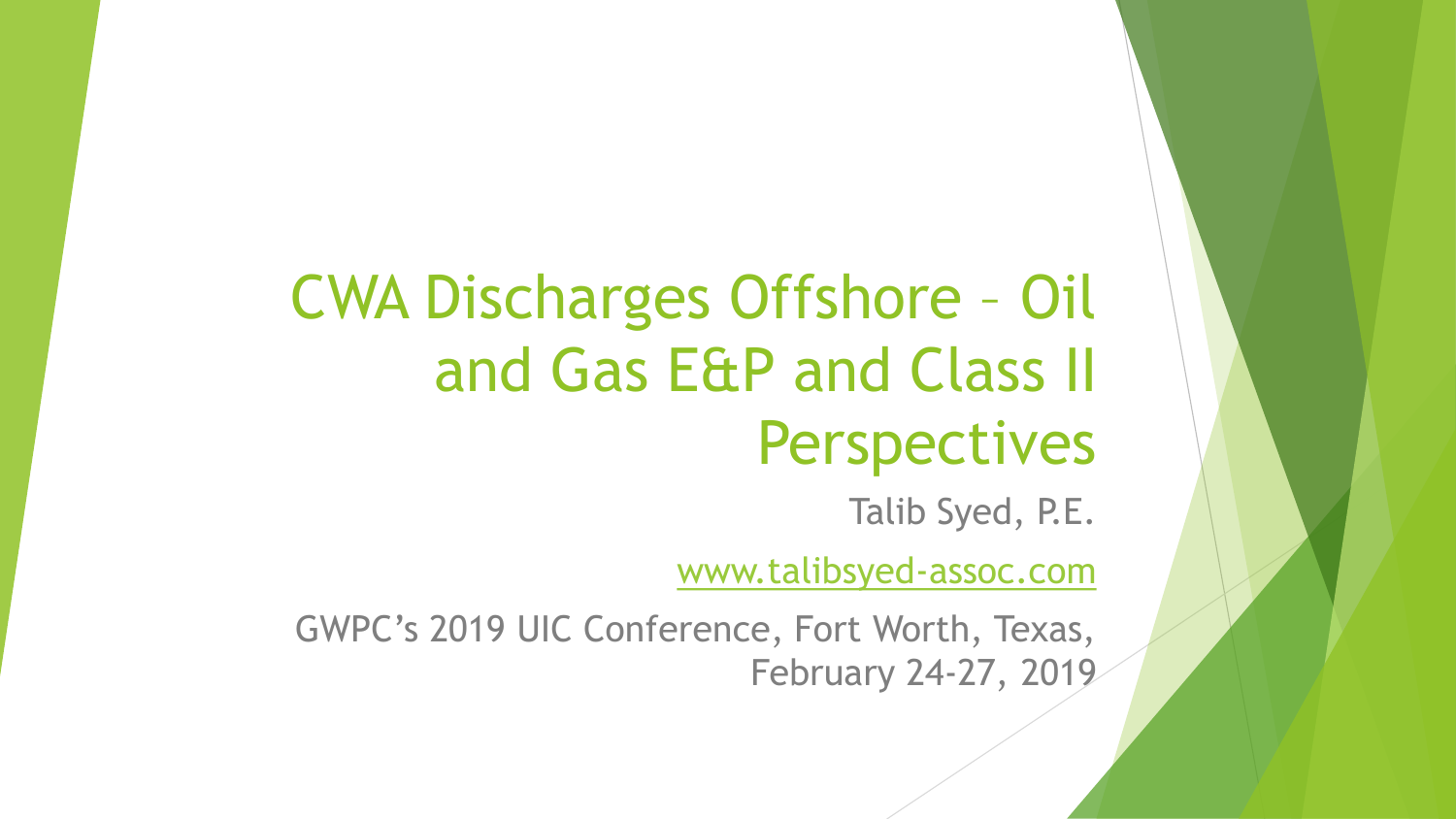# CWA Discharges Offshore – Oil and Gas E&P and Class II Perspectives

Talib Syed, P.E.

[www.talibsyed-assoc.com](http://www.talibsyed-assoc.com/)

GWPC's 2019 UIC Conference, Fort Worth, Texas, February 24-27, 2019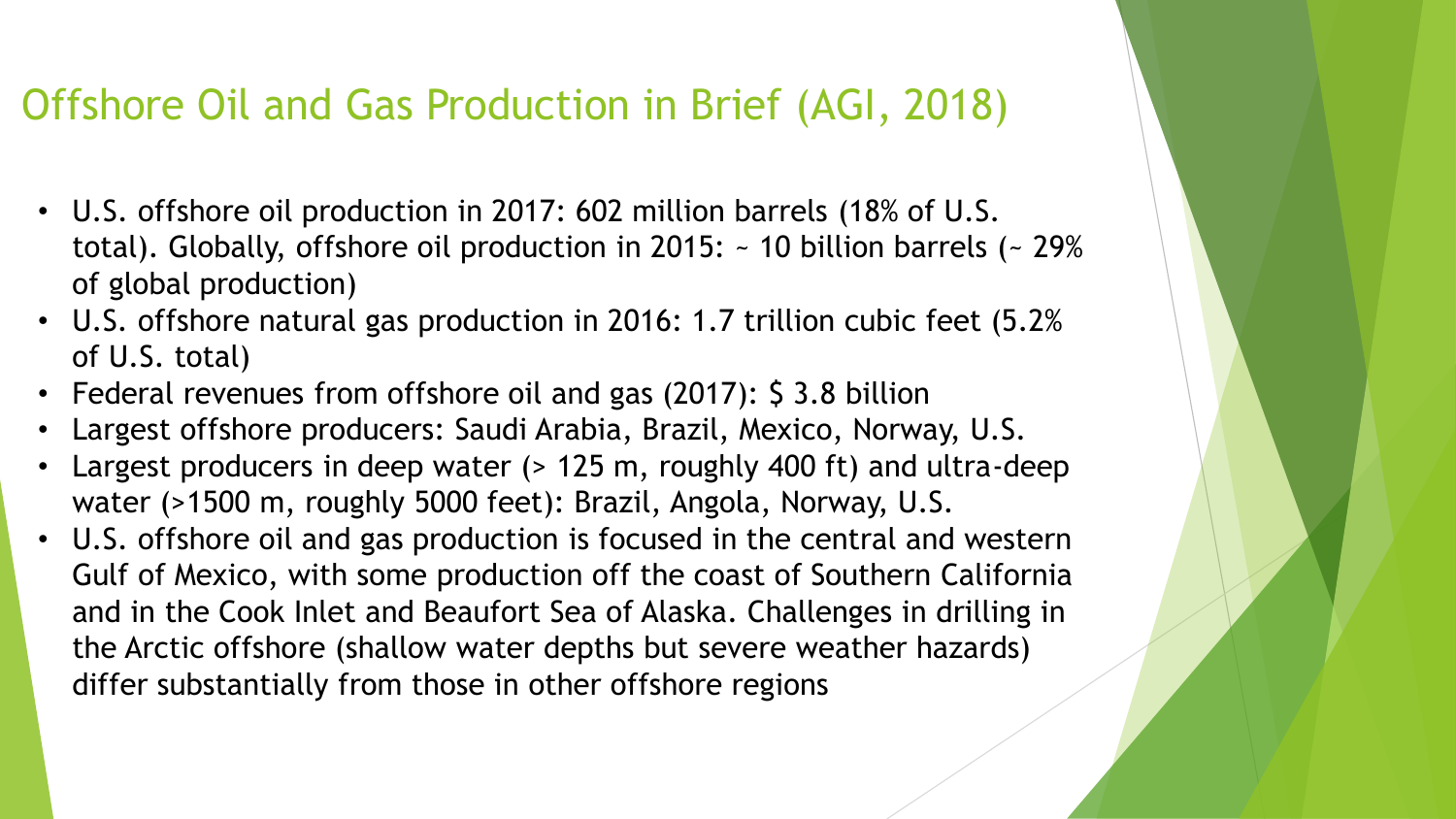### Offshore Oil and Gas Production in Brief (AGI, 2018)

- U.S. offshore oil production in 2017: 602 million barrels (18% of U.S. total). Globally, offshore oil production in 2015: ~ 10 billion barrels (~ 29% of global production)
- U.S. offshore natural gas production in 2016: 1.7 trillion cubic feet (5.2% of U.S. total)
- Federal revenues from offshore oil and gas (2017): \$ 3.8 billion
- Largest offshore producers: Saudi Arabia, Brazil, Mexico, Norway, U.S.
- Largest producers in deep water (> 125 m, roughly 400 ft) and ultra-deep water (>1500 m, roughly 5000 feet): Brazil, Angola, Norway, U.S.
- U.S. offshore oil and gas production is focused in the central and western Gulf of Mexico, with some production off the coast of Southern California and in the Cook Inlet and Beaufort Sea of Alaska. Challenges in drilling in the Arctic offshore (shallow water depths but severe weather hazards) differ substantially from those in other offshore regions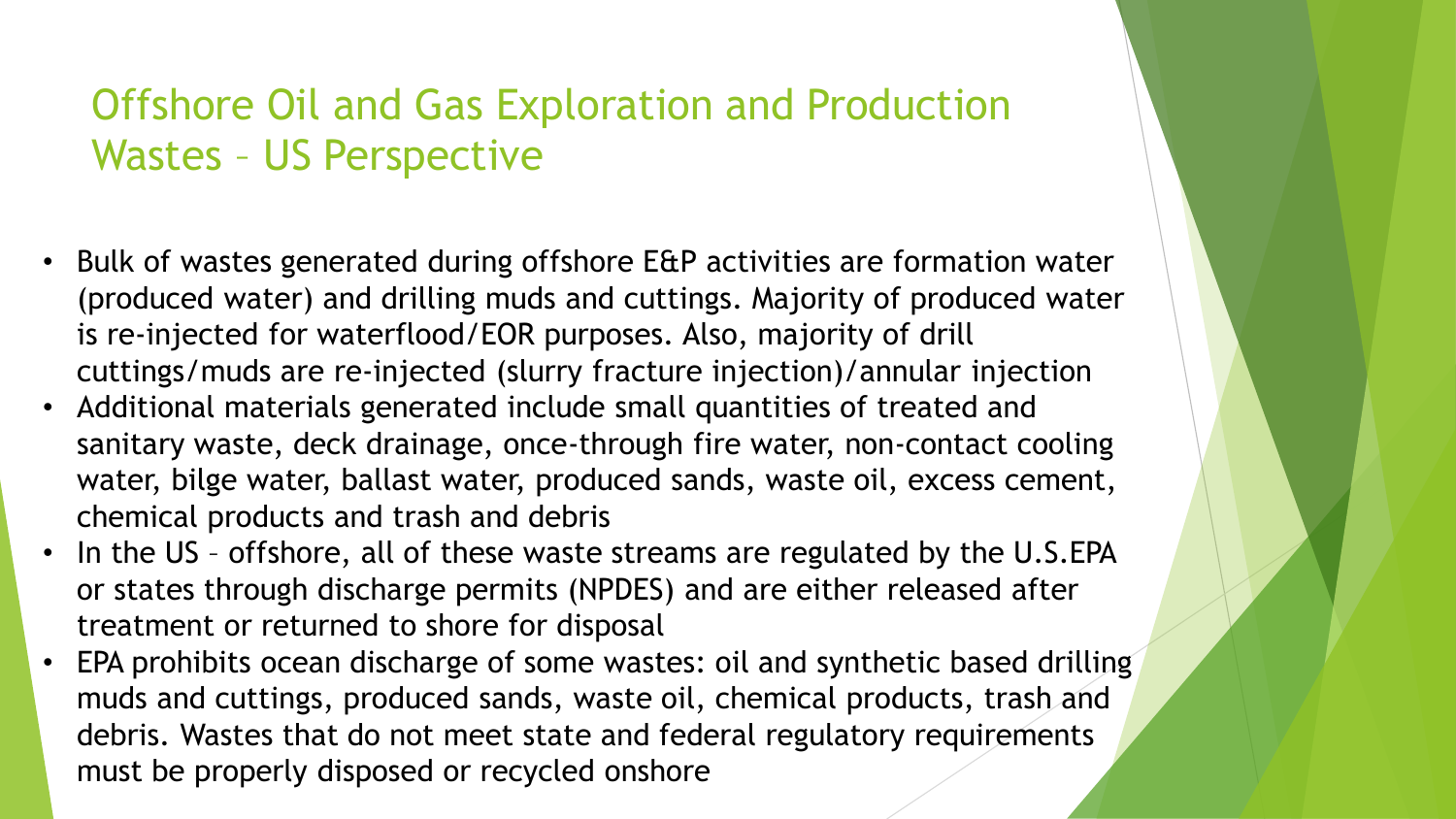## Offshore Oil and Gas Exploration and Production Wastes – US Perspective

- Bulk of wastes generated during offshore E&P activities are formation water (produced water) and drilling muds and cuttings. Majority of produced water is re-injected for waterflood/EOR purposes. Also, majority of drill cuttings/muds are re-injected (slurry fracture injection)/annular injection
- Additional materials generated include small quantities of treated and sanitary waste, deck drainage, once-through fire water, non-contact cooling water, bilge water, ballast water, produced sands, waste oil, excess cement, chemical products and trash and debris
- In the US offshore, all of these waste streams are regulated by the U.S.EPA or states through discharge permits (NPDES) and are either released after treatment or returned to shore for disposal
- EPA prohibits ocean discharge of some wastes: oil and synthetic based drilling muds and cuttings, produced sands, waste oil, chemical products, trash and debris. Wastes that do not meet state and federal regulatory requirements must be properly disposed or recycled onshore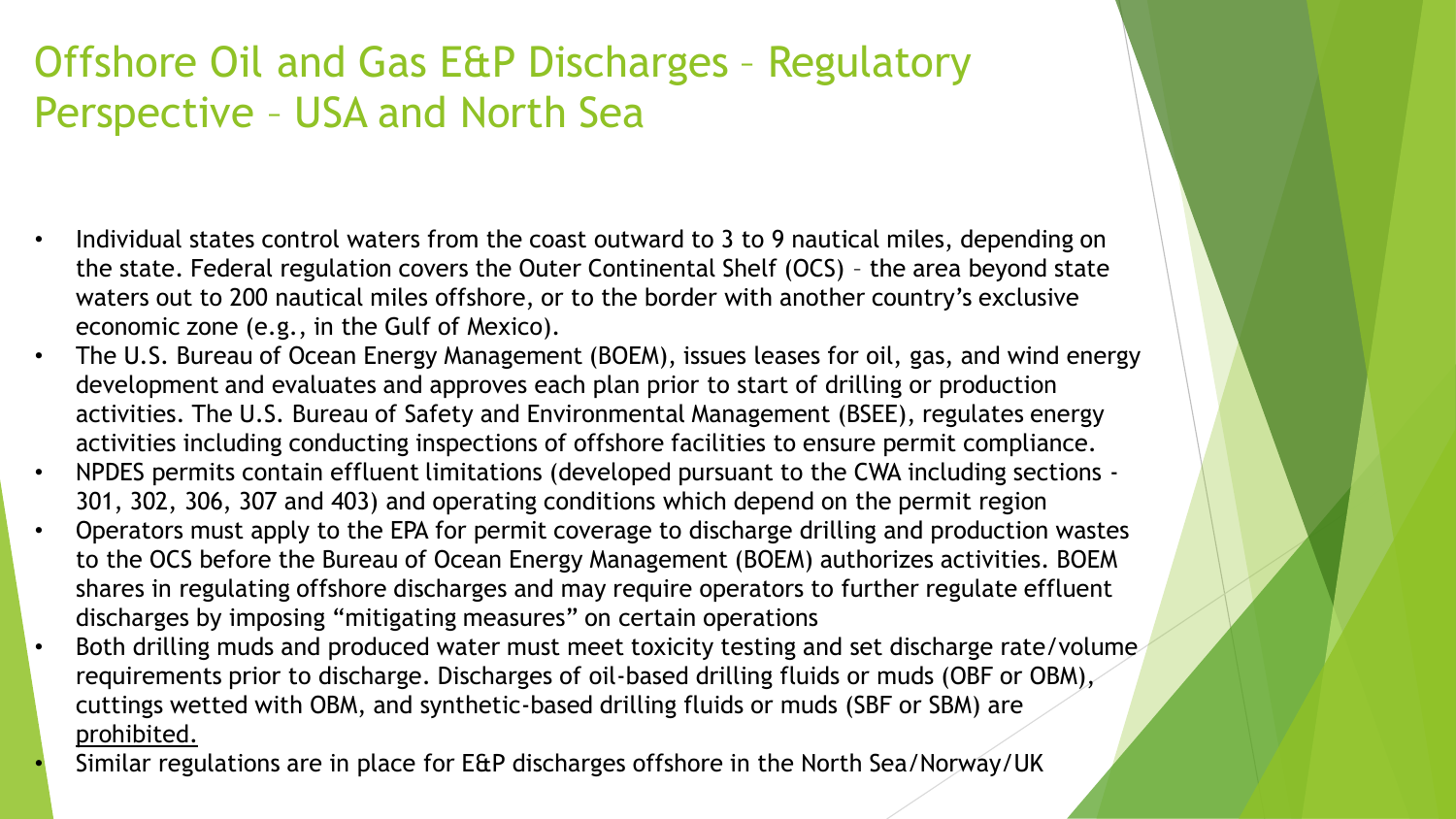# Offshore Oil and Gas E&P Discharges – Regulatory Perspective – USA and North Sea

- Individual states control waters from the coast outward to 3 to 9 nautical miles, depending on the state. Federal regulation covers the Outer Continental Shelf (OCS) – the area beyond state waters out to 200 nautical miles offshore, or to the border with another country's exclusive economic zone (e.g., in the Gulf of Mexico).
- The U.S. Bureau of Ocean Energy Management (BOEM), issues leases for oil, gas, and wind energy development and evaluates and approves each plan prior to start of drilling or production activities. The U.S. Bureau of Safety and Environmental Management (BSEE), regulates energy activities including conducting inspections of offshore facilities to ensure permit compliance.
- NPDES permits contain effluent limitations (developed pursuant to the CWA including sections 301, 302, 306, 307 and 403) and operating conditions which depend on the permit region
- Operators must apply to the EPA for permit coverage to discharge drilling and production wastes to the OCS before the Bureau of Ocean Energy Management (BOEM) authorizes activities. BOEM shares in regulating offshore discharges and may require operators to further regulate effluent discharges by imposing "mitigating measures" on certain operations
- Both drilling muds and produced water must meet toxicity testing and set discharge rate/volume requirements prior to discharge. Discharges of oil-based drilling fluids or muds (OBF or OBM), cuttings wetted with OBM, and synthetic-based drilling fluids or muds (SBF or SBM) are prohibited.
	- Similar regulations are in place for E&P discharges offshore in the North Sea/Norway/UK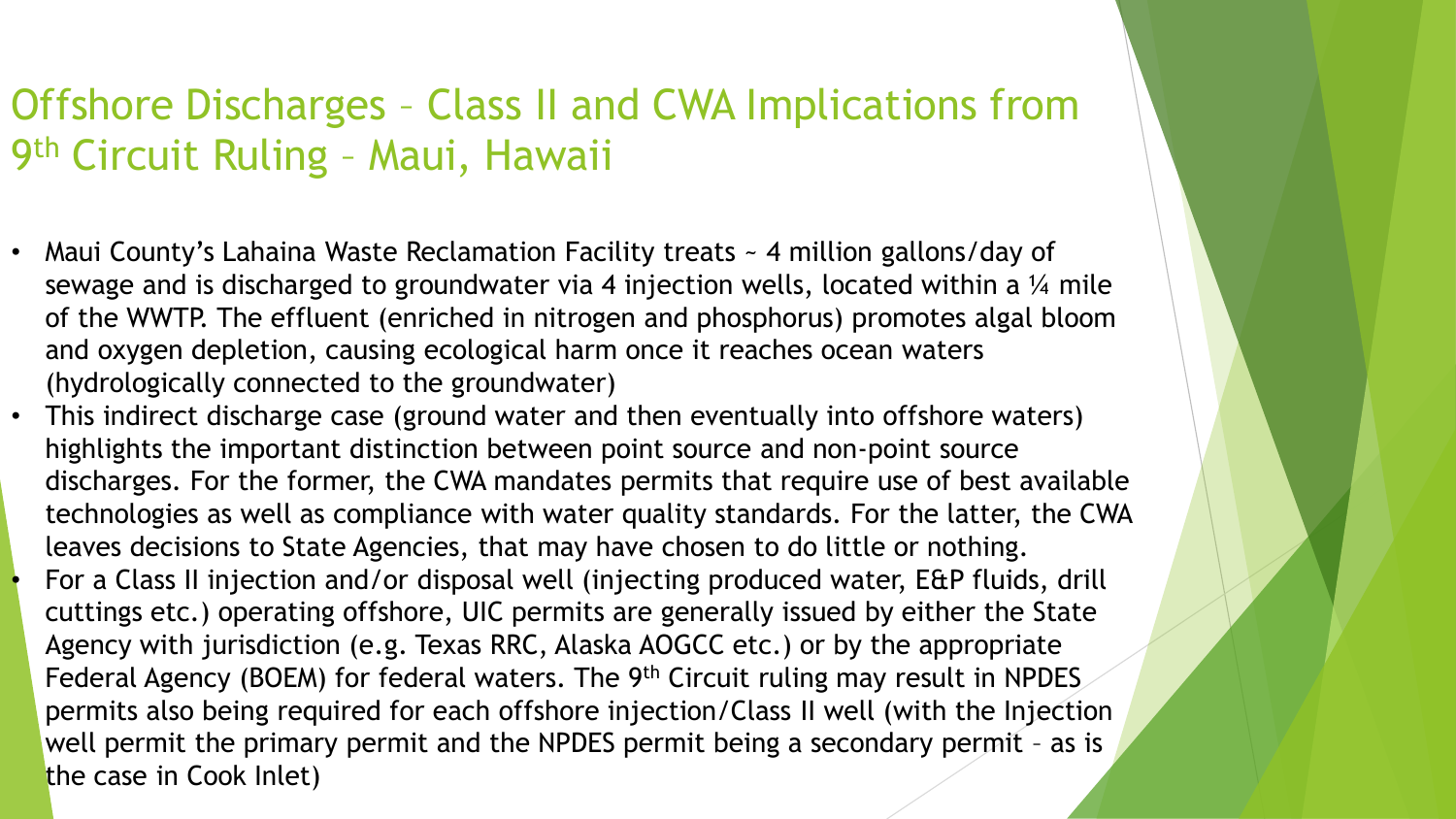## Offshore Discharges – Class II and CWA Implications from 9<sup>th</sup> Circuit Ruling - Maui, Hawaii

- Maui County's Lahaina Waste Reclamation Facility treats ~ 4 million gallons/day of sewage and is discharged to groundwater via 4 injection wells, located within a 1/4 mile of the WWTP. The effluent (enriched in nitrogen and phosphorus) promotes algal bloom and oxygen depletion, causing ecological harm once it reaches ocean waters (hydrologically connected to the groundwater)
- This indirect discharge case (ground water and then eventually into offshore waters) highlights the important distinction between point source and non-point source discharges. For the former, the CWA mandates permits that require use of best available technologies as well as compliance with water quality standards. For the latter, the CWA leaves decisions to State Agencies, that may have chosen to do little or nothing. • For a Class II injection and/or disposal well (injecting produced water, E&P fluids, drill cuttings etc.) operating offshore, UIC permits are generally issued by either the State Agency with jurisdiction (e.g. Texas RRC, Alaska AOGCC etc.) or by the appropriate Federal Agency (BOEM) for federal waters. The 9<sup>th</sup> Circuit ruling may result in NPDES permits also being required for each offshore injection/Class II well (with the Injection well permit the primary permit and the NPDES permit being a secondary permit – as is the case in Cook Inlet)